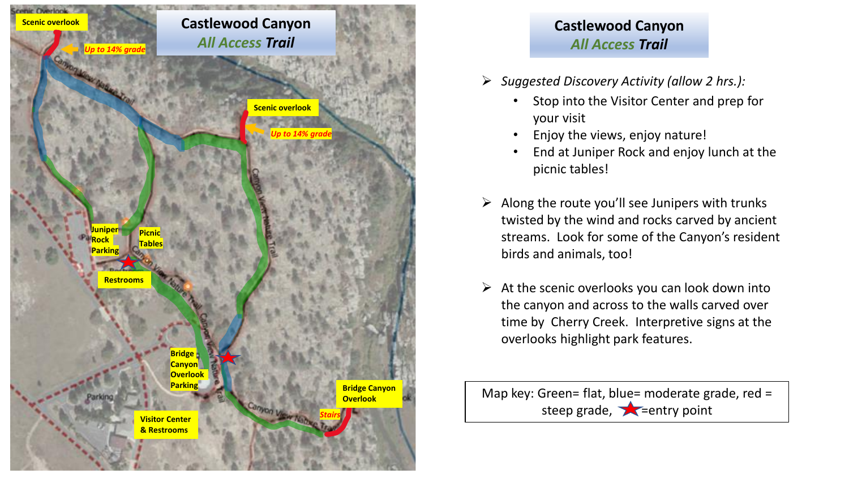

## **Castlewood Canyon** *All Access Trail*

- ➢ *Suggested Discovery Activity (allow 2 hrs.):*
	- Stop into the Visitor Center and prep for your visit
	- Enjoy the views, enjoy nature!
	- End at Juniper Rock and enjoy lunch at the picnic tables!
- $\triangleright$  Along the route you'll see Junipers with trunks twisted by the wind and rocks carved by ancient streams. Look for some of the Canyon's resident birds and animals, too!
- $\triangleright$  At the scenic overlooks you can look down into the canyon and across to the walls carved over time by Cherry Creek. Interpretive signs at the overlooks highlight park features.

Map key: Green= flat, blue= moderate grade, red = steep grade,  $\sum$  =entry point